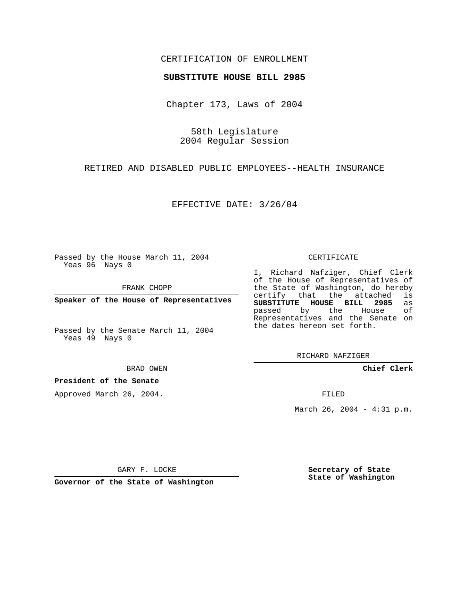## CERTIFICATION OF ENROLLMENT

#### **SUBSTITUTE HOUSE BILL 2985**

Chapter 173, Laws of 2004

58th Legislature 2004 Regular Session

RETIRED AND DISABLED PUBLIC EMPLOYEES--HEALTH INSURANCE

EFFECTIVE DATE: 3/26/04

Passed by the House March 11, 2004 Yeas 96 Nays 0

FRANK CHOPP

**Speaker of the House of Representatives**

Passed by the Senate March 11, 2004 Yeas 49 Nays 0

BRAD OWEN

**President of the Senate**

Approved March 26, 2004.

CERTIFICATE

I, Richard Nafziger, Chief Clerk of the House of Representatives of the State of Washington, do hereby<br>certify that the attached is certify that the attached **SUBSTITUTE HOUSE BILL 2985** as passed by the Representatives and the Senate on the dates hereon set forth.

RICHARD NAFZIGER

**Chief Clerk**

FILED

March 26, 2004 - 4:31 p.m.

GARY F. LOCKE

**Governor of the State of Washington**

**Secretary of State State of Washington**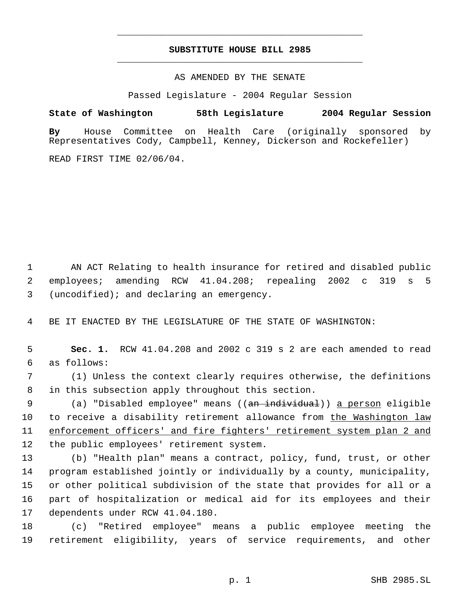# **SUBSTITUTE HOUSE BILL 2985** \_\_\_\_\_\_\_\_\_\_\_\_\_\_\_\_\_\_\_\_\_\_\_\_\_\_\_\_\_\_\_\_\_\_\_\_\_\_\_\_\_\_\_\_\_

\_\_\_\_\_\_\_\_\_\_\_\_\_\_\_\_\_\_\_\_\_\_\_\_\_\_\_\_\_\_\_\_\_\_\_\_\_\_\_\_\_\_\_\_\_

### AS AMENDED BY THE SENATE

Passed Legislature - 2004 Regular Session

### **State of Washington 58th Legislature 2004 Regular Session**

**By** House Committee on Health Care (originally sponsored by Representatives Cody, Campbell, Kenney, Dickerson and Rockefeller)

READ FIRST TIME 02/06/04.

 AN ACT Relating to health insurance for retired and disabled public employees; amending RCW 41.04.208; repealing 2002 c 319 s 5 (uncodified); and declaring an emergency.

BE IT ENACTED BY THE LEGISLATURE OF THE STATE OF WASHINGTON:

 **Sec. 1.** RCW 41.04.208 and 2002 c 319 s 2 are each amended to read as follows:

 (1) Unless the context clearly requires otherwise, the definitions in this subsection apply throughout this section.

9 (a) "Disabled employee" means ((<del>an individual</del>)) <u>a person</u> eligible to receive a disability retirement allowance from the Washington law enforcement officers' and fire fighters' retirement system plan 2 and the public employees' retirement system.

 (b) "Health plan" means a contract, policy, fund, trust, or other program established jointly or individually by a county, municipality, or other political subdivision of the state that provides for all or a part of hospitalization or medical aid for its employees and their dependents under RCW 41.04.180.

 (c) "Retired employee" means a public employee meeting the retirement eligibility, years of service requirements, and other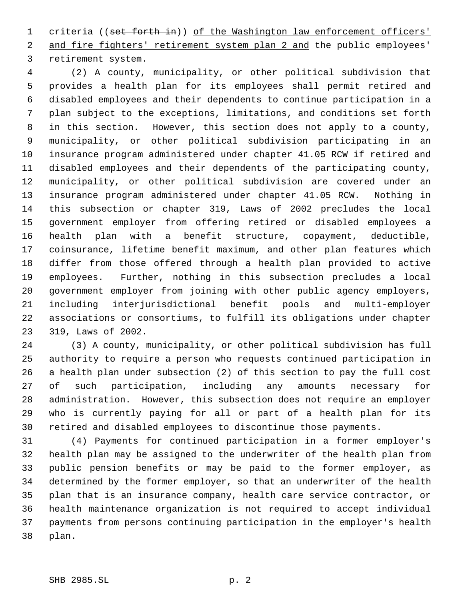1 criteria ((set forth in)) of the Washington law enforcement officers' 2 and fire fighters' retirement system plan 2 and the public employees' retirement system.

 (2) A county, municipality, or other political subdivision that provides a health plan for its employees shall permit retired and disabled employees and their dependents to continue participation in a plan subject to the exceptions, limitations, and conditions set forth in this section. However, this section does not apply to a county, municipality, or other political subdivision participating in an insurance program administered under chapter 41.05 RCW if retired and disabled employees and their dependents of the participating county, municipality, or other political subdivision are covered under an insurance program administered under chapter 41.05 RCW. Nothing in this subsection or chapter 319, Laws of 2002 precludes the local government employer from offering retired or disabled employees a health plan with a benefit structure, copayment, deductible, coinsurance, lifetime benefit maximum, and other plan features which differ from those offered through a health plan provided to active employees. Further, nothing in this subsection precludes a local government employer from joining with other public agency employers, including interjurisdictional benefit pools and multi-employer associations or consortiums, to fulfill its obligations under chapter 319, Laws of 2002.

 (3) A county, municipality, or other political subdivision has full authority to require a person who requests continued participation in a health plan under subsection (2) of this section to pay the full cost of such participation, including any amounts necessary for administration. However, this subsection does not require an employer who is currently paying for all or part of a health plan for its retired and disabled employees to discontinue those payments.

 (4) Payments for continued participation in a former employer's health plan may be assigned to the underwriter of the health plan from public pension benefits or may be paid to the former employer, as determined by the former employer, so that an underwriter of the health plan that is an insurance company, health care service contractor, or health maintenance organization is not required to accept individual payments from persons continuing participation in the employer's health plan.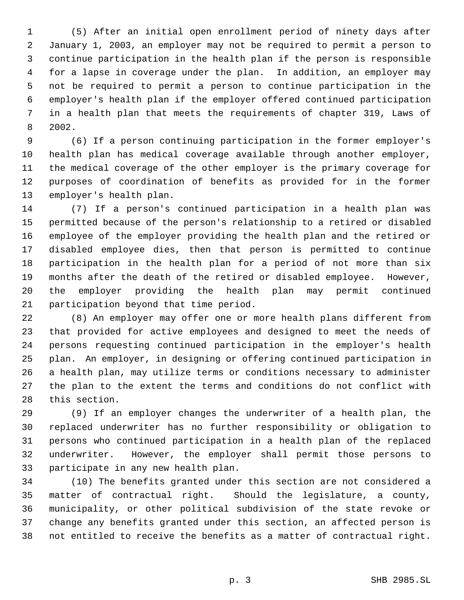(5) After an initial open enrollment period of ninety days after January 1, 2003, an employer may not be required to permit a person to continue participation in the health plan if the person is responsible for a lapse in coverage under the plan. In addition, an employer may not be required to permit a person to continue participation in the employer's health plan if the employer offered continued participation in a health plan that meets the requirements of chapter 319, Laws of 2002.

 (6) If a person continuing participation in the former employer's health plan has medical coverage available through another employer, the medical coverage of the other employer is the primary coverage for purposes of coordination of benefits as provided for in the former employer's health plan.

 (7) If a person's continued participation in a health plan was permitted because of the person's relationship to a retired or disabled employee of the employer providing the health plan and the retired or disabled employee dies, then that person is permitted to continue participation in the health plan for a period of not more than six months after the death of the retired or disabled employee. However, the employer providing the health plan may permit continued participation beyond that time period.

 (8) An employer may offer one or more health plans different from that provided for active employees and designed to meet the needs of persons requesting continued participation in the employer's health plan. An employer, in designing or offering continued participation in a health plan, may utilize terms or conditions necessary to administer the plan to the extent the terms and conditions do not conflict with this section.

 (9) If an employer changes the underwriter of a health plan, the replaced underwriter has no further responsibility or obligation to persons who continued participation in a health plan of the replaced underwriter. However, the employer shall permit those persons to participate in any new health plan.

 (10) The benefits granted under this section are not considered a matter of contractual right. Should the legislature, a county, municipality, or other political subdivision of the state revoke or change any benefits granted under this section, an affected person is not entitled to receive the benefits as a matter of contractual right.